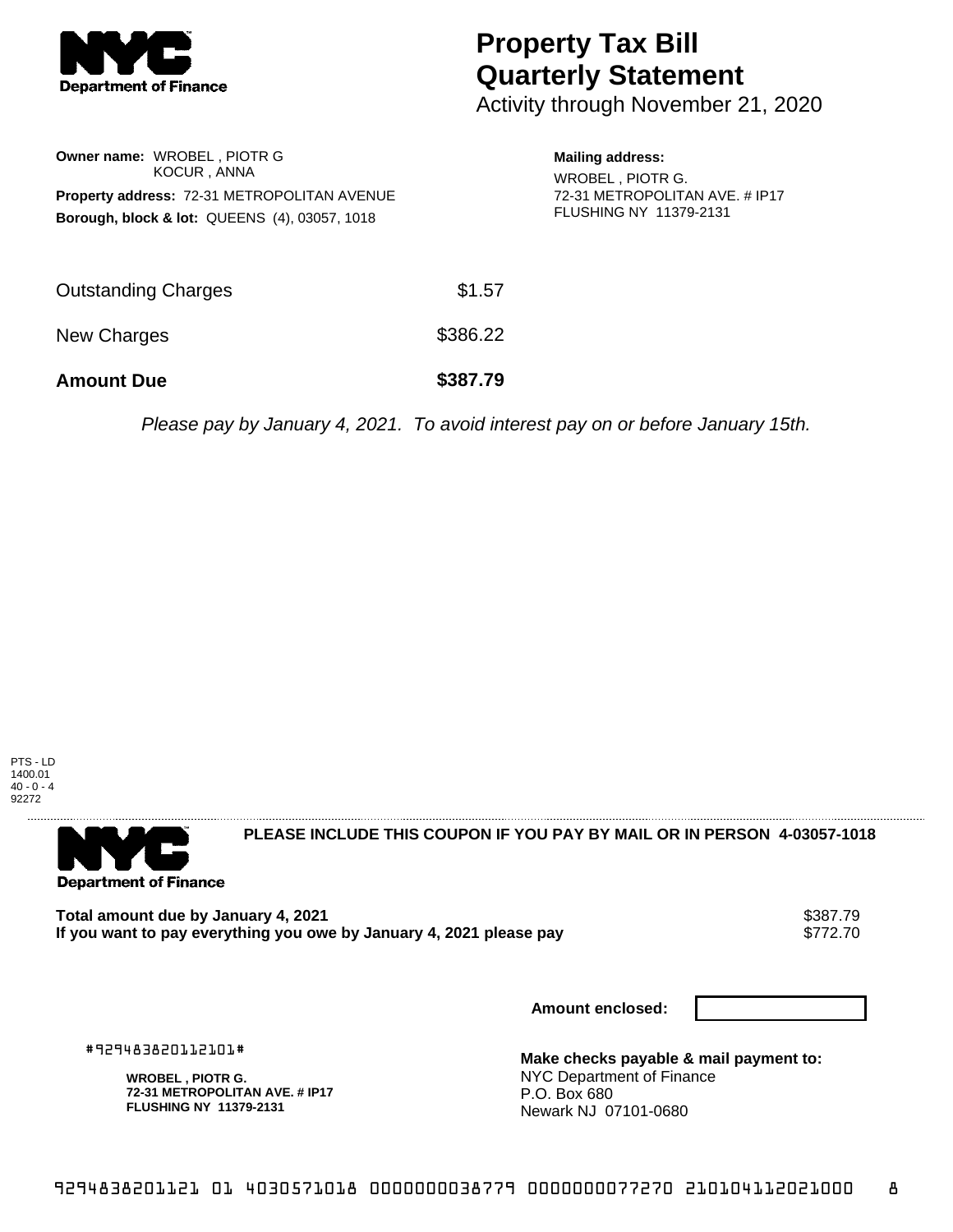

## **Property Tax Bill Quarterly Statement**

Activity through November 21, 2020

| <b>Owner name: WROBEL, PIOTR G</b><br>KOCUR, ANNA<br>Property address: 72-31 METROPOLITAN AVENUE<br><b>Borough, block &amp; lot: QUEENS (4), 03057, 1018</b> |          | <b>Mailing address:</b><br>WROBEL, PIOTR G.<br>72-31 METROPOLITAN AVE, # IP17<br><b>FLUSHING NY 11379-2131</b>                                                                                                                                                               |
|--------------------------------------------------------------------------------------------------------------------------------------------------------------|----------|------------------------------------------------------------------------------------------------------------------------------------------------------------------------------------------------------------------------------------------------------------------------------|
| <b>Outstanding Charges</b>                                                                                                                                   | \$1.57   |                                                                                                                                                                                                                                                                              |
| New Charges                                                                                                                                                  | \$386.22 |                                                                                                                                                                                                                                                                              |
| <b>Amount Due</b>                                                                                                                                            | \$387.79 |                                                                                                                                                                                                                                                                              |
|                                                                                                                                                              |          | $D_{\ell}$ and $L_{\ell}$ are $L_{\ell}$ and $L_{\ell}$ and $\ell$ are $L_{\ell}$ in the set of the set of $L_{\ell}$ and $L_{\ell}$ are $\ell$ and $\ell$ and $\ell$ and $\ell$ and $\ell$ and $\ell$ and $\ell$ and $\ell$ and $\ell$ and $\ell$ and $\ell$ and $\ell$ and |

Please pay by January 4, 2021. To avoid interest pay on or before January 15th.





**PLEASE INCLUDE THIS COUPON IF YOU PAY BY MAIL OR IN PERSON 4-03057-1018** 

Total amount due by January 4, 2021<br>If you want to pay everything you owe by January 4, 2021 please pay **show that the state of the state of the s** If you want to pay everything you owe by January 4, 2021 please pay

**Amount enclosed:**

#929483820112101#

**WROBEL , PIOTR G. 72-31 METROPOLITAN AVE. # IP17 FLUSHING NY 11379-2131**

**Make checks payable & mail payment to:** NYC Department of Finance P.O. Box 680 Newark NJ 07101-0680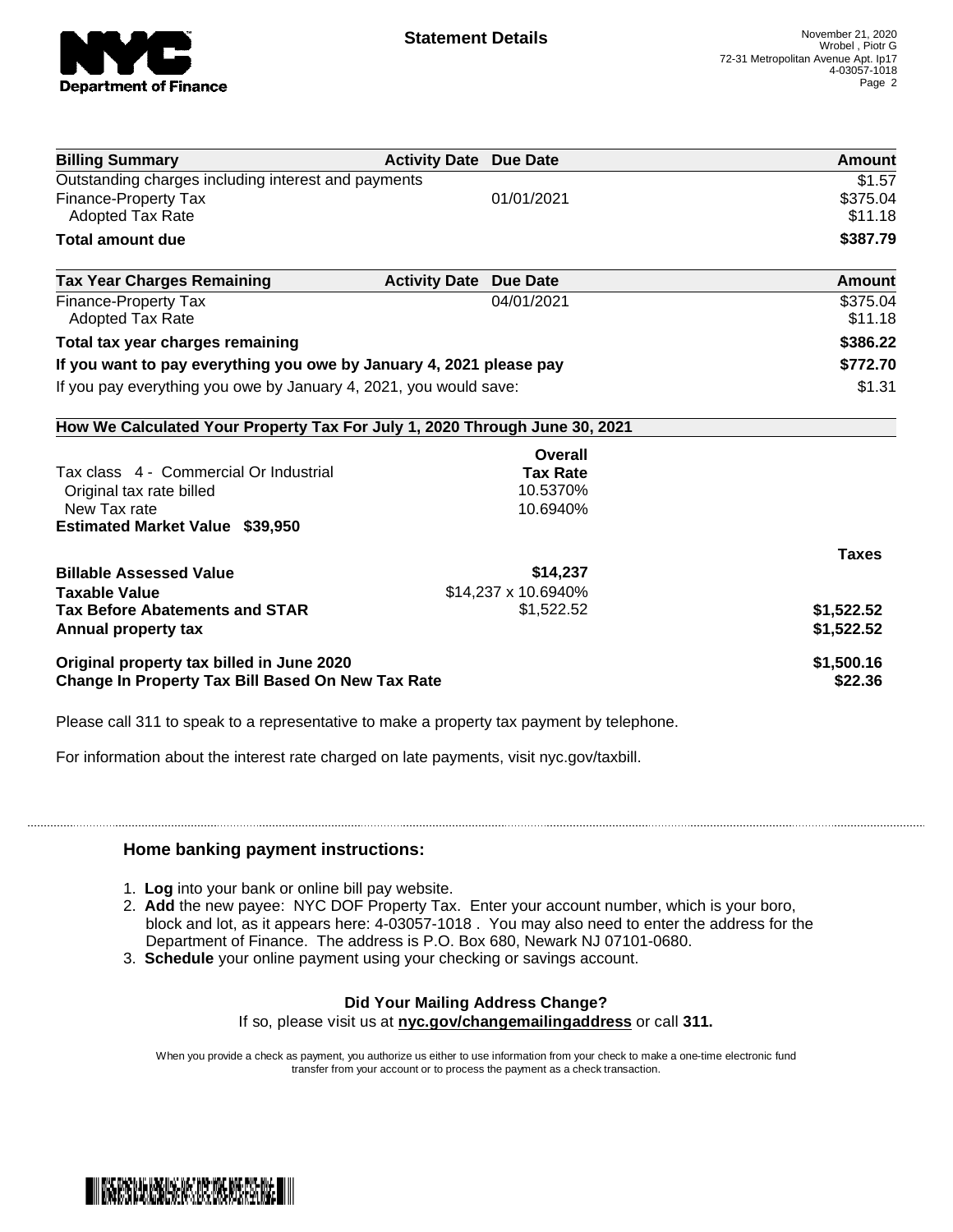

| <b>Billing Summary</b>                                                     | <b>Activity Date Due Date</b>           | Amount       |
|----------------------------------------------------------------------------|-----------------------------------------|--------------|
| Outstanding charges including interest and payments                        |                                         | \$1.57       |
| <b>Finance-Property Tax</b>                                                | 01/01/2021                              | \$375.04     |
| <b>Adopted Tax Rate</b>                                                    |                                         | \$11.18      |
| <b>Total amount due</b>                                                    |                                         | \$387.79     |
| <b>Tax Year Charges Remaining</b>                                          | <b>Activity Date</b><br><b>Due Date</b> | Amount       |
| <b>Finance-Property Tax</b>                                                | 04/01/2021                              | \$375.04     |
| <b>Adopted Tax Rate</b>                                                    |                                         | \$11.18      |
| Total tax year charges remaining                                           |                                         | \$386.22     |
| If you want to pay everything you owe by January 4, 2021 please pay        | \$772.70                                |              |
| If you pay everything you owe by January 4, 2021, you would save:          |                                         | \$1.31       |
| How We Calculated Your Property Tax For July 1, 2020 Through June 30, 2021 |                                         |              |
|                                                                            | Overall                                 |              |
| Tax class 4 - Commercial Or Industrial                                     | <b>Tax Rate</b>                         |              |
| Original tax rate billed                                                   | 10.5370%                                |              |
| New Tax rate                                                               | 10.6940%                                |              |
| <b>Estimated Market Value \$39,950</b>                                     |                                         |              |
|                                                                            |                                         | <b>Taxes</b> |
| <b>Billable Assessed Value</b>                                             | \$14,237                                |              |
| <b>Taxable Value</b>                                                       | \$14,237 x 10.6940%                     |              |
| <b>Tax Before Abatements and STAR</b>                                      | \$1,522.52                              | \$1,522.52   |
| Annual property tax                                                        |                                         | \$1,522.52   |
| Original property tax billed in June 2020                                  |                                         | \$1,500.16   |
| <b>Change In Property Tax Bill Based On New Tax Rate</b>                   |                                         | \$22.36      |

Please call 311 to speak to a representative to make a property tax payment by telephone.

For information about the interest rate charged on late payments, visit nyc.gov/taxbill.

## **Home banking payment instructions:**

- 1. **Log** into your bank or online bill pay website.
- 2. **Add** the new payee: NYC DOF Property Tax. Enter your account number, which is your boro, block and lot, as it appears here: 4-03057-1018 . You may also need to enter the address for the Department of Finance. The address is P.O. Box 680, Newark NJ 07101-0680.
- 3. **Schedule** your online payment using your checking or savings account.

## **Did Your Mailing Address Change?**

If so, please visit us at **nyc.gov/changemailingaddress** or call **311.**

When you provide a check as payment, you authorize us either to use information from your check to make a one-time electronic fund transfer from your account or to process the payment as a check transaction.